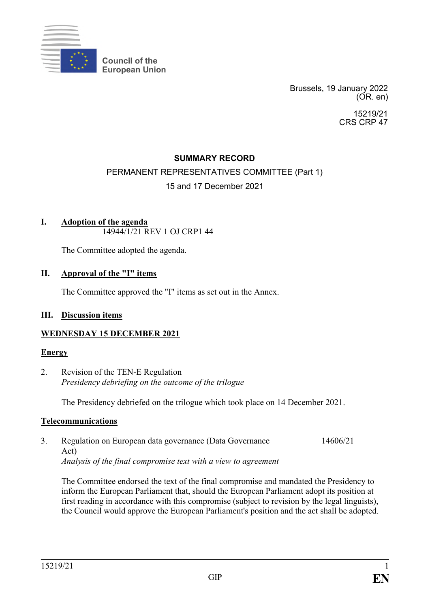

**Council of the European Union**

> Brussels, 19 January 2022 (OR. en)

> > 15219/21 CRS CRP 47

## **SUMMARY RECORD**

# PERMANENT REPRESENTATIVES COMMITTEE (Part 1) 15 and 17 December 2021

#### **I. Adoption of the agenda** 14944/1/21 REV 1 OJ CRP1 44

The Committee adopted the agenda.

### **II. Approval of the "I" items**

The Committee approved the "I" items as set out in the Annex.

### **III. Discussion items**

### **WEDNESDAY 15 DECEMBER 2021**

### **Energy**

2. Revision of the TEN-E Regulation *Presidency debriefing on the outcome of the trilogue*

The Presidency debriefed on the trilogue which took place on 14 December 2021.

### **Telecommunications**

3. Regulation on European data governance (Data Governance Act) *Analysis of the final compromise text with a view to agreement* 14606/21

The Committee endorsed the text of the final compromise and mandated the Presidency to inform the European Parliament that, should the European Parliament adopt its position at first reading in accordance with this compromise (subject to revision by the legal linguists), the Council would approve the European Parliament's position and the act shall be adopted.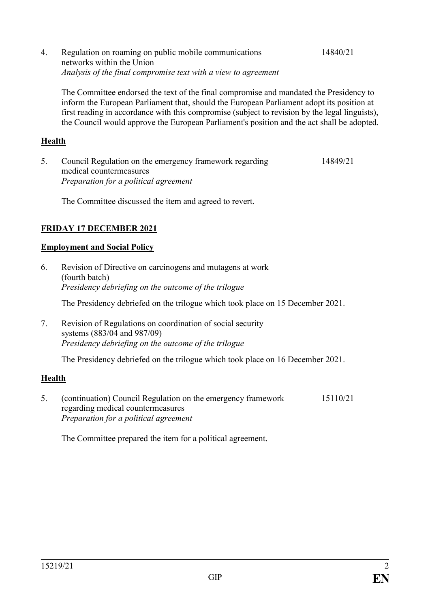4. Regulation on roaming on public mobile communications networks within the Union *Analysis of the final compromise text with a view to agreement* 14840/21

The Committee endorsed the text of the final compromise and mandated the Presidency to inform the European Parliament that, should the European Parliament adopt its position at first reading in accordance with this compromise (subject to revision by the legal linguists), the Council would approve the European Parliament's position and the act shall be adopted.

# **Health**

5. Council Regulation on the emergency framework regarding medical countermeasures *Preparation for a political agreement* 14849/21

The Committee discussed the item and agreed to revert.

# **FRIDAY 17 DECEMBER 2021**

# **Employment and Social Policy**

- 6. Revision of Directive on carcinogens and mutagens at work (fourth batch) *Presidency debriefing on the outcome of the trilogue* The Presidency debriefed on the trilogue which took place on 15 December 2021.
- 7. Revision of Regulations on coordination of social security systems (883/04 and 987/09) *Presidency debriefing on the outcome of the trilogue*

The Presidency debriefed on the trilogue which took place on 16 December 2021.

# **Health**

5. (continuation) Council Regulation on the emergency framework regarding medical countermeasures *Preparation for a political agreement* 15110/21

The Committee prepared the item for a political agreement.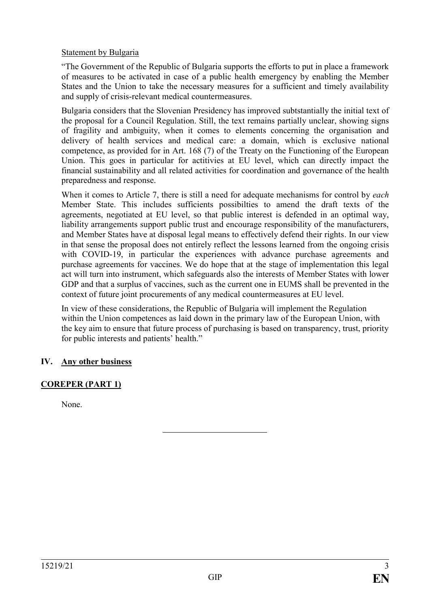## Statement by Bulgaria

"The Government of the Republic of Bulgaria supports the efforts to put in place a framework of measures to be activated in case of a public health emergency by enabling the Member States and the Union to take the necessary measures for a sufficient and timely availability and supply of crisis-relevant medical countermeasures.

Bulgaria considers that the Slovenian Presidency has improved subtstantially the initial text of the proposal for a Council Regulation. Still, the text remains partially unclear, showing signs of fragility and ambiguity, when it comes to elements concerning the organisation and delivery of health services and medical care: a domain, which is exclusive national competence, as provided for in Art. 168 (7) of the Treaty on the Functioning of the European Union. This goes in particular for actitivies at EU level, which can directly impact the financial sustainability and all related activities for coordination and governance of the health preparedness and response.

When it comes to Article 7, there is still a need for adequate mechanisms for control by *each* Member State. This includes sufficients possibilties to amend the draft texts of the agreements, negotiated at EU level, so that public interest is defended in an optimal way, liability arrangements support public trust and encourage responsibility of the manufacturers, and Member States have at disposal legal means to effectively defend their rights. In our view in that sense the proposal does not entirely reflect the lessons learned from the ongoing crisis with COVID-19, in particular the experiences with advance purchase agreements and purchase agreements for vaccines. We do hope that at the stage of implementation this legal act will turn into instrument, which safeguards also the interests of Member States with lower GDP and that a surplus of vaccines, such as the current one in EUMS shall be prevented in the context of future joint procurements of any medical countermeasures at EU level.

In view of these considerations, the Republic of Bulgaria will implement the Regulation within the Union competences as laid down in the primary law of the European Union, with the key aim to ensure that future process of purchasing is based on transparency, trust, priority for public interests and patients' health."

# **IV. Any other business**

# **COREPER (PART 1)**

None.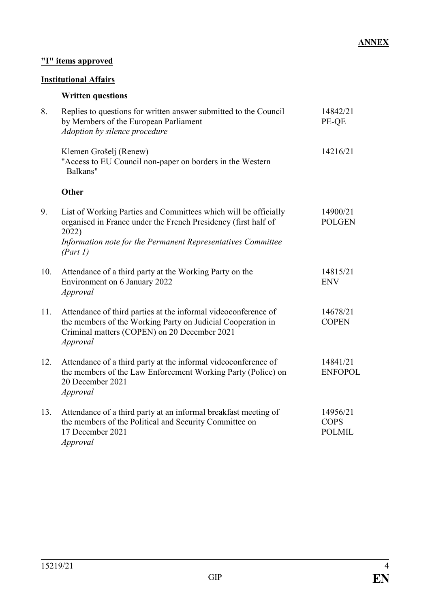## **ANNEX**

# **"I" items approved**

# **Institutional Affairs**

# **Written questions**

| 8.  | Replies to questions for written answer submitted to the Council<br>by Members of the European Parliament<br>Adoption by silence procedure                                                                             | 14842/21<br>PE-QE                        |
|-----|------------------------------------------------------------------------------------------------------------------------------------------------------------------------------------------------------------------------|------------------------------------------|
|     | Klemen Grošelj (Renew)<br>"Access to EU Council non-paper on borders in the Western<br>Balkans"                                                                                                                        | 14216/21                                 |
|     | <b>Other</b>                                                                                                                                                                                                           |                                          |
| 9.  | List of Working Parties and Committees which will be officially<br>organised in France under the French Presidency (first half of<br>2022)<br>Information note for the Permanent Representatives Committee<br>(Part I) | 14900/21<br><b>POLGEN</b>                |
| 10. | Attendance of a third party at the Working Party on the<br>Environment on 6 January 2022<br>Approval                                                                                                                   | 14815/21<br><b>ENV</b>                   |
| 11. | Attendance of third parties at the informal videoconference of<br>the members of the Working Party on Judicial Cooperation in<br>Criminal matters (COPEN) on 20 December 2021<br>Approval                              | 14678/21<br><b>COPEN</b>                 |
| 12. | Attendance of a third party at the informal videoconference of<br>the members of the Law Enforcement Working Party (Police) on<br>20 December 2021<br>Approval                                                         | 14841/21<br><b>ENFOPOL</b>               |
| 13. | Attendance of a third party at an informal breakfast meeting of<br>the members of the Political and Security Committee on<br>17 December 2021<br>Approval                                                              | 14956/21<br><b>COPS</b><br><b>POLMIL</b> |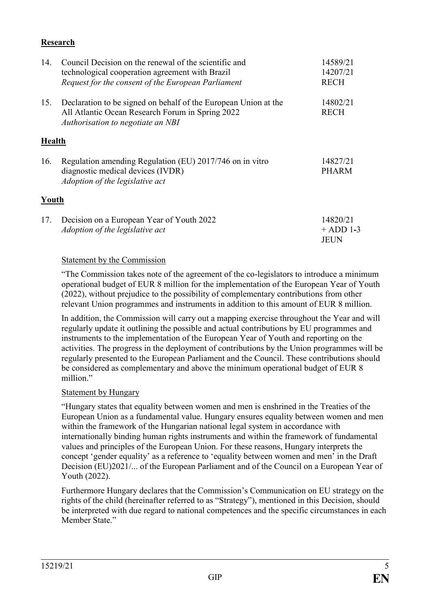## **Research**

| 14.    | Council Decision on the renewal of the scientific and<br>technological cooperation agreement with Brazil<br>Request for the consent of the European Parliament | 14589/21<br>14207/21<br><b>RECH</b> |
|--------|----------------------------------------------------------------------------------------------------------------------------------------------------------------|-------------------------------------|
|        |                                                                                                                                                                |                                     |
| 15.    | Declaration to be signed on behalf of the European Union at the<br>All Atlantic Ocean Research Forum in Spring 2022<br>Authorisation to negotiate an NBI       | 14802/21<br><b>RECH</b>             |
| Health |                                                                                                                                                                |                                     |
| 16.    | Regulation amending Regulation (EU) 2017/746 on in vitro<br>diagnostic medical devices (IVDR)<br>Adoption of the legislative act                               | 14827/21<br><b>PHARM</b>            |
| Youth  |                                                                                                                                                                |                                     |
| 17.    | Decision on a European Year of Youth 2022<br>Adoption of the legislative act                                                                                   | 14820/21<br>$+$ ADD 1-3<br>JEUN     |

### Statement by the Commission

"The Commission takes note of the agreement of the co-legislators to introduce a minimum operational budget of EUR 8 million for the implementation of the European Year of Youth (2022), without prejudice to the possibility of complementary contributions from other relevant Union programmes and instruments in addition to this amount of EUR 8 million.

In addition, the Commission will carry out a mapping exercise throughout the Year and will regularly update it outlining the possible and actual contributions by EU programmes and instruments to the implementation of the European Year of Youth and reporting on the activities. The progress in the deployment of contributions by the Union programmes will be regularly presented to the European Parliament and the Council. These contributions should be considered as complementary and above the minimum operational budget of EUR 8 million<sup>"</sup>

### Statement by Hungary

"Hungary states that equality between women and men is enshrined in the Treaties of the European Union as a fundamental value. Hungary ensures equality between women and men within the framework of the Hungarian national legal system in accordance with internationally binding human rights instruments and within the framework of fundamental values and principles of the European Union. For these reasons, Hungary interprets the concept 'gender equality' as a reference to 'equality between women and men' in the Draft Decision (EU)2021/... of the European Parliament and of the Council on a European Year of Youth (2022).

Furthermore Hungary declares that the Commission's Communication on EU strategy on the rights of the child (hereinafter referred to as "Strategy"), mentioned in this Decision, should be interpreted with due regard to national competences and the specific circumstances in each Member State<sup>"</sup>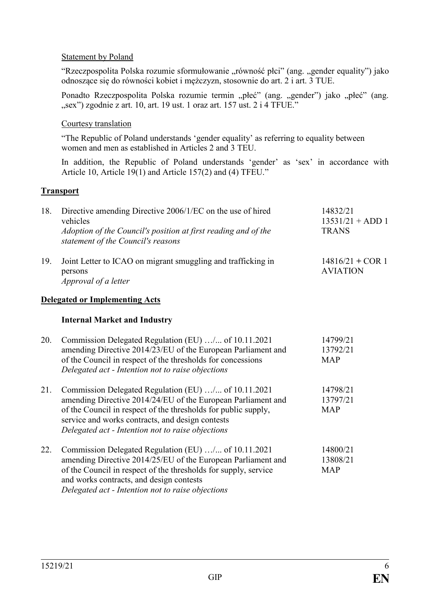### Statement by Poland

"Rzeczpospolita Polska rozumie sformułowanie "równość płci" (ang. "gender equality") jako odnoszące się do równości kobiet i mężczyzn, stosownie do art. 2 i art. 3 TUE.

Ponadto Rzeczpospolita Polska rozumie termin "płeć" (ang. "gender") jako "płeć" (ang. "sex") zgodnie z art. 10, art. 19 ust. 1 oraz art. 157 ust. 2 i 4 TFUE."

### Courtesy translation

"The Republic of Poland understands 'gender equality' as referring to equality between women and men as established in Articles 2 and 3 TEU.

In addition, the Republic of Poland understands 'gender' as 'sex' in accordance with Article 10, Article 19(1) and Article 157(2) and (4) TFEU."

### **Transport**

| 18. | Directive amending Directive 2006/1/EC on the use of hired<br>vehicles<br>Adoption of the Council's position at first reading and of the<br>statement of the Council's reasons | 14832/21<br>$13531/21 + ADD 1$<br><b>TRANS</b> |
|-----|--------------------------------------------------------------------------------------------------------------------------------------------------------------------------------|------------------------------------------------|
| 19. | Joint Letter to ICAO on migrant smuggling and trafficking in<br>persons<br><i>Approval of a letter</i>                                                                         | 14816/21 + COR 1<br><b>AVIATION</b>            |
|     | <b>Delegated or Implementing Acts</b>                                                                                                                                          |                                                |

### **Internal Market and Industry**

| 20. | Commission Delegated Regulation (EU) / of 10.11.2021<br>amending Directive 2014/23/EU of the European Parliament and<br>of the Council in respect of the thresholds for concessions<br>Delegated act - Intention not to raise objections                                                        | 14799/21<br>13792/21<br><b>MAP</b> |
|-----|-------------------------------------------------------------------------------------------------------------------------------------------------------------------------------------------------------------------------------------------------------------------------------------------------|------------------------------------|
| 21. | Commission Delegated Regulation (EU) / of 10.11.2021<br>amending Directive 2014/24/EU of the European Parliament and<br>of the Council in respect of the thresholds for public supply,<br>service and works contracts, and design contests<br>Delegated act - Intention not to raise objections | 14798/21<br>13797/21<br><b>MAP</b> |
| 22. | Commission Delegated Regulation (EU) / of 10.11.2021<br>amending Directive 2014/25/EU of the European Parliament and<br>of the Council in respect of the thresholds for supply, service<br>and works contracts, and design contests<br>Delegated act - Intention not to raise objections        | 14800/21<br>13808/21<br><b>MAP</b> |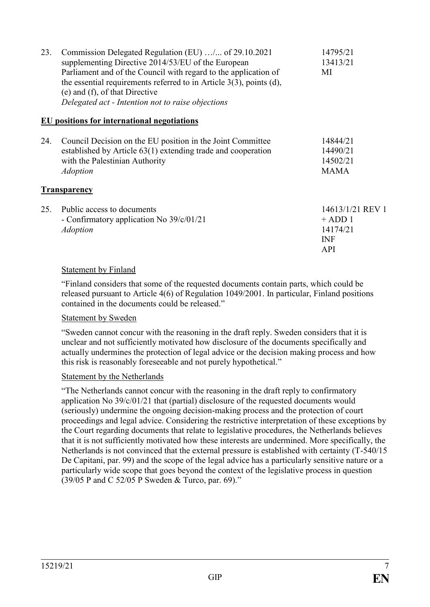| 23. | Commission Delegated Regulation (EU) / of 29.10.2021<br>supplementing Directive 2014/53/EU of the European<br>Parliament and of the Council with regard to the application of<br>the essential requirements referred to in Article $3(3)$ , points (d),<br>(e) and (f), of that Directive<br>Delegated act - Intention not to raise objections | 14795/21<br>13413/21<br>MI                                            |
|-----|------------------------------------------------------------------------------------------------------------------------------------------------------------------------------------------------------------------------------------------------------------------------------------------------------------------------------------------------|-----------------------------------------------------------------------|
|     | <b>EU</b> positions for international negotiations                                                                                                                                                                                                                                                                                             |                                                                       |
| 24. | Council Decision on the EU position in the Joint Committee<br>established by Article 63(1) extending trade and cooperation<br>with the Palestinian Authority<br><i>Adoption</i>                                                                                                                                                                | 14844/21<br>14490/21<br>14502/21<br><b>MAMA</b>                       |
|     | <b>Transparency</b>                                                                                                                                                                                                                                                                                                                            |                                                                       |
| 25. | Public access to documents<br>- Confirmatory application No 39/c/01/21<br><b>Adoption</b>                                                                                                                                                                                                                                                      | 14613/1/21 REV 1<br>$+$ ADD 1<br>14174/21<br><b>INF</b><br><b>API</b> |

## Statement by Finland

"Finland considers that some of the requested documents contain parts, which could be released pursuant to Article 4(6) of Regulation 1049/2001. In particular, Finland positions contained in the documents could be released."

### Statement by Sweden

"Sweden cannot concur with the reasoning in the draft reply. Sweden considers that it is unclear and not sufficiently motivated how disclosure of the documents specifically and actually undermines the protection of legal advice or the decision making process and how this risk is reasonably foreseeable and not purely hypothetical."

### Statement by the Netherlands

"The Netherlands cannot concur with the reasoning in the draft reply to confirmatory application No 39/c/01/21 that (partial) disclosure of the requested documents would (seriously) undermine the ongoing decision-making process and the protection of court proceedings and legal advice. Considering the restrictive interpretation of these exceptions by the Court regarding documents that relate to legislative procedures, the Netherlands believes that it is not sufficiently motivated how these interests are undermined. More specifically, the Netherlands is not convinced that the external pressure is established with certainty (T-540/15 De Capitani, par. 99) and the scope of the legal advice has a particularly sensitive nature or a particularly wide scope that goes beyond the context of the legislative process in question (39/05 P and C 52/05 P Sweden & Turco, par. 69)."